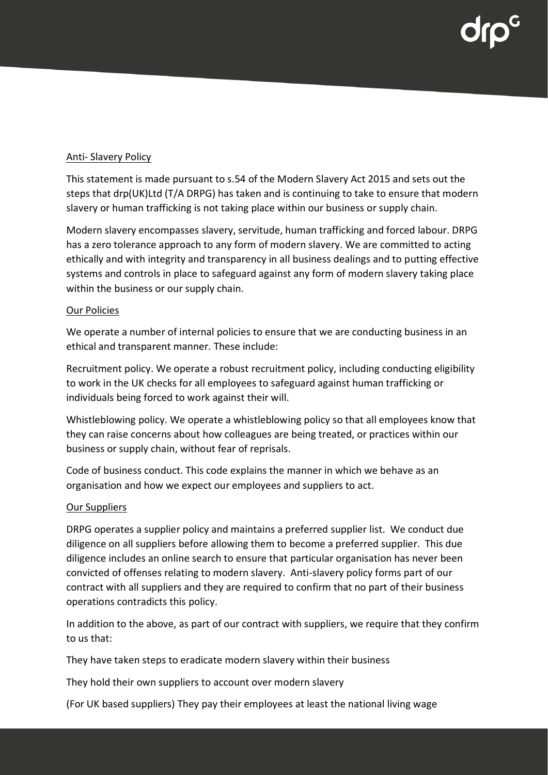### Anti- Slavery Policy

This statement is made pursuant to s.54 of the Modern Slavery Act 2015 and sets out the steps that drp(UK)Ltd (T/A DRPG) has taken and is continuing to take to ensure that modern slavery or human trafficking is not taking place within our business or supply chain.

Modern slavery encompasses slavery, servitude, human trafficking and forced labour. DRPG has a zero tolerance approach to any form of modern slavery. We are committed to acting ethically and with integrity and transparency in all business dealings and to putting effective systems and controls in place to safeguard against any form of modern slavery taking place within the business or our supply chain.

# Our Policies

We operate a number of internal policies to ensure that we are conducting business in an ethical and transparent manner. These include:

Recruitment policy. We operate a robust recruitment policy, including conducting eligibility to work in the UK checks for all employees to safeguard against human trafficking or individuals being forced to work against their will.

Whistleblowing policy. We operate a whistleblowing policy so that all employees know that they can raise concerns about how colleagues are being treated, or practices within our business or supply chain, without fear of reprisals.

Code of business conduct. This code explains the manner in which we behave as an organisation and how we expect our employees and suppliers to act.

# Our Suppliers

DRPG operates a supplier policy and maintains a preferred supplier list. We conduct due diligence on all suppliers before allowing them to become a preferred supplier. This due diligence includes an online search to ensure that particular organisation has never been convicted of offenses relating to modern slavery. Anti-slavery policy forms part of our contract with all suppliers and they are required to confirm that no part of their business operations contradicts this policy.

In addition to the above, as part of our contract with suppliers, we require that they confirm to us that:

They have taken steps to eradicate modern slavery within their business

They hold their own suppliers to account over modern slavery

(For UK based suppliers) They pay their employees at least the national living wage